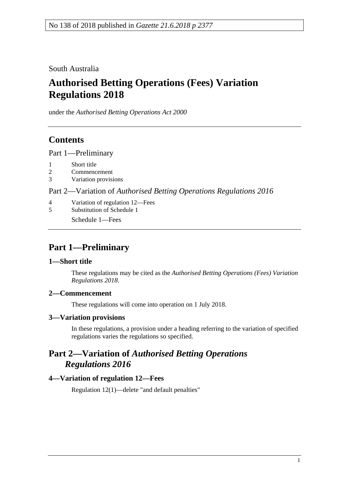South Australia

# **Authorised Betting Operations (Fees) Variation Regulations 2018**

under the *Authorised Betting Operations Act 2000*

## **Contents**

Part [1—Preliminary](#page-0-0)

- 1 [Short title](#page-0-1)
- 2 [Commencement](#page-0-2)
- 3 [Variation provisions](#page-0-3)

#### Part 2—Variation of *[Authorised Betting Operations Regulations](#page-0-4) 2016*

- 4 [Variation of regulation 12—Fees](#page-0-5)
- 5 [Substitution of Schedule 1](#page-1-0)
	- Schedule 1—Fees

### <span id="page-0-0"></span>**Part 1—Preliminary**

#### <span id="page-0-1"></span>**1—Short title**

These regulations may be cited as the *Authorised Betting Operations (Fees) Variation Regulations 2018*.

#### <span id="page-0-2"></span>**2—Commencement**

These regulations will come into operation on 1 July 2018.

#### <span id="page-0-3"></span>**3—Variation provisions**

In these regulations, a provision under a heading referring to the variation of specified regulations varies the regulations so specified.

### <span id="page-0-4"></span>**Part 2—Variation of** *Authorised Betting Operations Regulations 2016*

#### <span id="page-0-5"></span>**4—Variation of regulation 12—Fees**

Regulation 12(1)—delete "and default penalties"